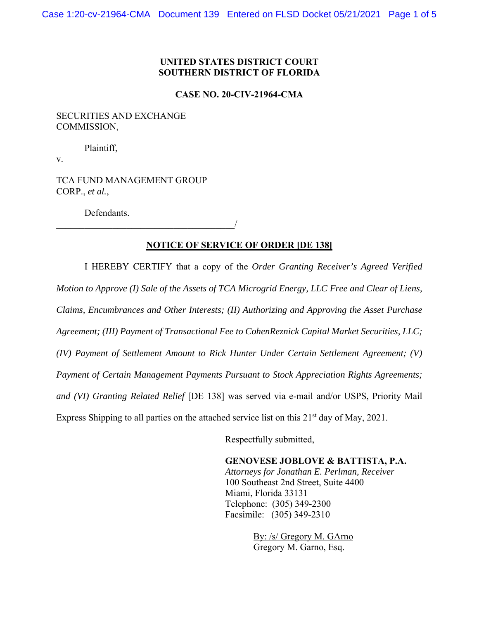# **UNITED STATES DISTRICT COURT SOUTHERN DISTRICT OF FLORIDA**

## **CASE NO. 20-CIV-21964-CMA**

## SECURITIES AND EXCHANGE COMMISSION,

Plaintiff,

v.

TCA FUND MANAGEMENT GROUP CORP., *et al.*,

 $\overline{\phantom{a}}$ 

Defendants.

## **NOTICE OF SERVICE OF ORDER [DE 138]**

I HEREBY CERTIFY that a copy of the *Order Granting Receiver's Agreed Verified Motion to Approve (I) Sale of the Assets of TCA Microgrid Energy, LLC Free and Clear of Liens, Claims, Encumbrances and Other Interests; (II) Authorizing and Approving the Asset Purchase Agreement; (III) Payment of Transactional Fee to CohenReznick Capital Market Securities, LLC; (IV) Payment of Settlement Amount to Rick Hunter Under Certain Settlement Agreement; (V) Payment of Certain Management Payments Pursuant to Stock Appreciation Rights Agreements; and (VI) Granting Related Relief* [DE 138] was served via e-mail and/or USPS, Priority Mail Express Shipping to all parties on the attached service list on this  $21<sup>st</sup>$  day of May, 2021.

Respectfully submitted,

**GENOVESE JOBLOVE & BATTISTA, P.A.**  *Attorneys for Jonathan E. Perlman, Receiver*  100 Southeast 2nd Street, Suite 4400 Miami, Florida 33131 Telephone: (305) 349-2300 Facsimile: (305) 349-2310

> By: /s/ Gregory M. GArno Gregory M. Garno, Esq.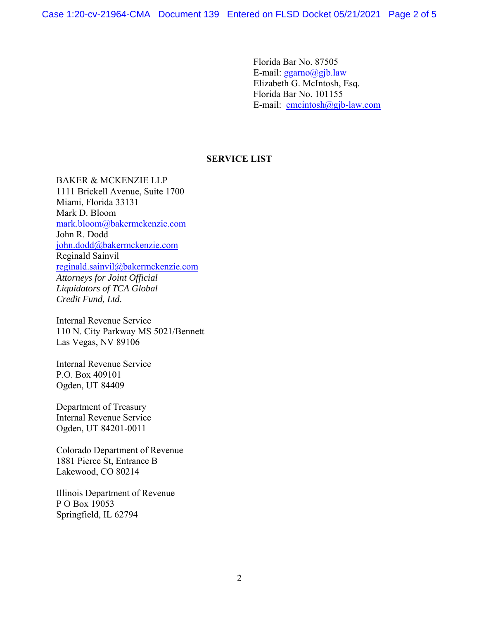Case 1:20-cv-21964-CMA Document 139 Entered on FLSD Docket 05/21/2021 Page 2 of 5

Florida Bar No. 87505 E-mail: ggarno@gjb.law Elizabeth G. McIntosh, Esq. Florida Bar No. 101155 E-mail: emcintosh@gjb-law.com

## **SERVICE LIST**

BAKER & MCKENZIE LLP 1111 Brickell Avenue, Suite 1700 Miami, Florida 33131 Mark D. Bloom mark.bloom@bakermckenzie.com John R. Dodd john.dodd@bakermckenzie.com Reginald Sainvil reginald.sainvil@bakermckenzie.com *Attorneys for Joint Official Liquidators of TCA Global Credit Fund, Ltd.* 

Internal Revenue Service 110 N. City Parkway MS 5021/Bennett Las Vegas, NV 89106

Internal Revenue Service P.O. Box 409101 Ogden, UT 84409

Department of Treasury Internal Revenue Service Ogden, UT 84201-0011

Colorado Department of Revenue 1881 Pierce St, Entrance B Lakewood, CO 80214

Illinois Department of Revenue P O Box 19053 Springfield, IL 62794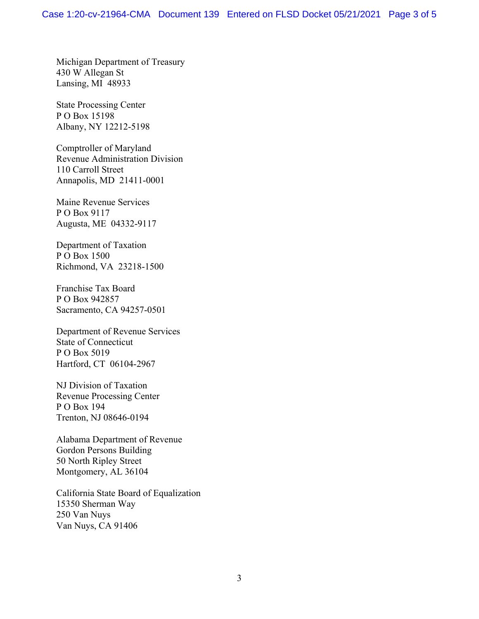Michigan Department of Treasury 430 W Allegan St Lansing, MI 48933

State Processing Center P O Box 15198 Albany, NY 12212-5198

Comptroller of Maryland Revenue Administration Division 110 Carroll Street Annapolis, MD 21411-0001

Maine Revenue Services P O Box 9117 Augusta, ME 04332-9117

Department of Taxation P O Box 1500 Richmond, VA 23218-1500

Franchise Tax Board P O Box 942857 Sacramento, CA 94257-0501

Department of Revenue Services State of Connecticut P O Box 5019 Hartford, CT 06104-2967

NJ Division of Taxation Revenue Processing Center P O Box 194 Trenton, NJ 08646-0194

Alabama Department of Revenue Gordon Persons Building 50 North Ripley Street Montgomery, AL 36104

California State Board of Equalization 15350 Sherman Way 250 Van Nuys Van Nuys, CA 91406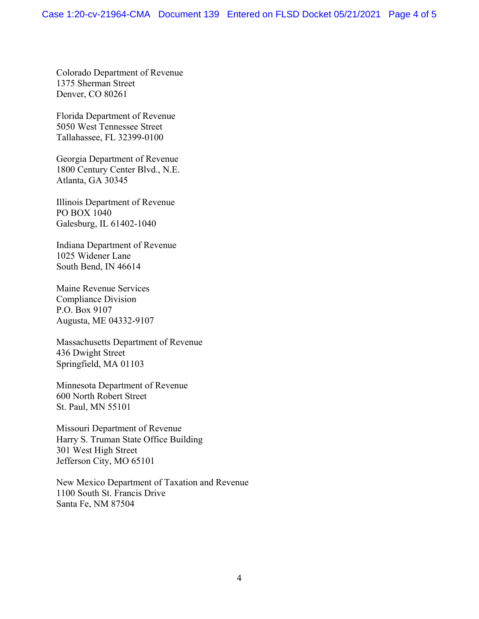Colorado Department of Revenue 1375 Sherman Street Denver, CO 80261

Florida Department of Revenue 5050 West Tennessee Street Tallahassee, FL 32399-0100

Georgia Department of Revenue 1800 Century Center Blvd., N.E. Atlanta, GA 30345

Illinois Department of Revenue PO BOX 1040 Galesburg, IL 61402-1040

Indiana Department of Revenue 1025 Widener Lane South Bend, IN 46614

Maine Revenue Services Compliance Division P.O. Box 9107 Augusta, ME 04332-9107

Massachusetts Department of Revenue 436 Dwight Street Springfield, MA 01103

Minnesota Department of Revenue 600 North Robert Street St. Paul, MN 55101

Missouri Department of Revenue Harry S. Truman State Office Building 301 West High Street Jefferson City, MO 65101

New Mexico Department of Taxation and Revenue 1100 South St. Francis Drive Santa Fe, NM 87504